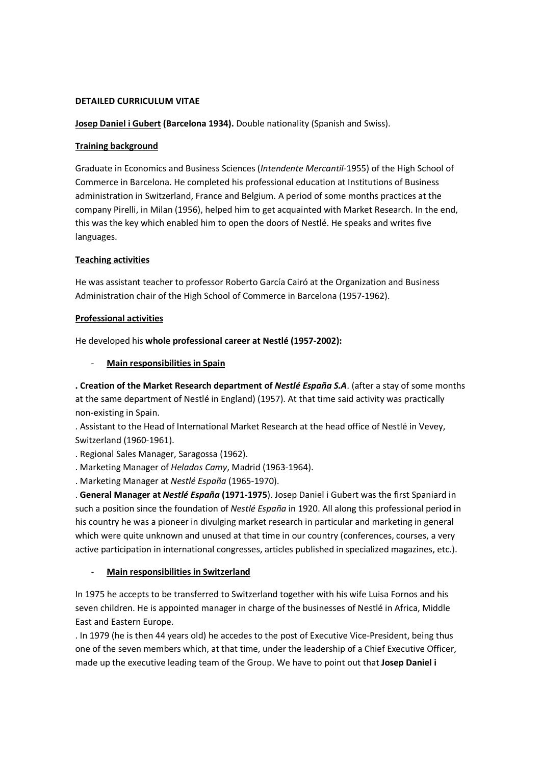### DETAILED CURRICULUM VITAE

Josep Daniel i Gubert (Barcelona 1934). Double nationality (Spanish and Swiss).

# Training background

Graduate in Economics and Business Sciences (Intendente Mercantil-1955) of the High School of Commerce in Barcelona. He completed his professional education at Institutions of Business administration in Switzerland, France and Belgium. A period of some months practices at the company Pirelli, in Milan (1956), helped him to get acquainted with Market Research. In the end, this was the key which enabled him to open the doors of Nestlé. He speaks and writes five languages.

# Teaching activities

He was assistant teacher to professor Roberto García Cairó at the Organization and Business Administration chair of the High School of Commerce in Barcelona (1957-1962).

# Professional activities

He developed his whole professional career at Nestlé (1957-2002):

# Main responsibilities in Spain

. Creation of the Market Research department of Nestlé España S.A. (after a stay of some months at the same department of Nestlé in England) (1957). At that time said activity was practically non-existing in Spain.

. Assistant to the Head of International Market Research at the head office of Nestlé in Vevey, Switzerland (1960-1961).

. Regional Sales Manager, Saragossa (1962).

. Marketing Manager of Helados Camy, Madrid (1963-1964).

. Marketing Manager at Nestlé España (1965-1970).

. General Manager at Nestlé España (1971-1975). Josep Daniel i Gubert was the first Spaniard in such a position since the foundation of Nestlé España in 1920. All along this professional period in his country he was a pioneer in divulging market research in particular and marketing in general which were quite unknown and unused at that time in our country (conferences, courses, a very active participation in international congresses, articles published in specialized magazines, etc.).

# Main responsibilities in Switzerland

In 1975 he accepts to be transferred to Switzerland together with his wife Luisa Fornos and his seven children. He is appointed manager in charge of the businesses of Nestlé in Africa, Middle East and Eastern Europe.

. In 1979 (he is then 44 years old) he accedes to the post of Executive Vice-President, being thus one of the seven members which, at that time, under the leadership of a Chief Executive Officer, made up the executive leading team of the Group. We have to point out that Josep Daniel i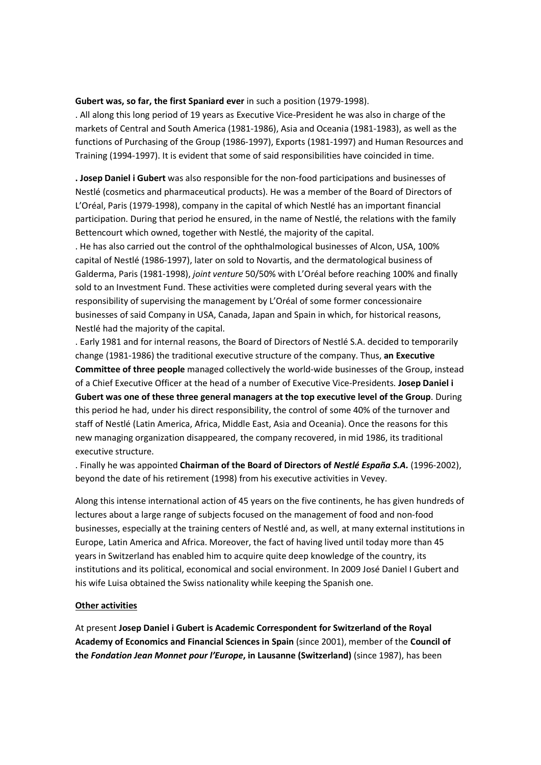#### Gubert was, so far, the first Spaniard ever in such a position (1979-1998).

. All along this long period of 19 years as Executive Vice-President he was also in charge of the markets of Central and South America (1981-1986), Asia and Oceania (1981-1983), as well as the functions of Purchasing of the Group (1986-1997), Exports (1981-1997) and Human Resources and Training (1994-1997). It is evident that some of said responsibilities have coincided in time.

. Josep Daniel i Gubert was also responsible for the non-food participations and businesses of Nestlé (cosmetics and pharmaceutical products). He was a member of the Board of Directors of L'Oréal, Paris (1979-1998), company in the capital of which Nestlé has an important financial participation. During that period he ensured, in the name of Nestlé, the relations with the family Bettencourt which owned, together with Nestlé, the majority of the capital.

. He has also carried out the control of the ophthalmological businesses of Alcon, USA, 100% capital of Nestlé (1986-1997), later on sold to Novartis, and the dermatological business of Galderma, Paris (1981-1998), joint venture 50/50% with L'Oréal before reaching 100% and finally sold to an Investment Fund. These activities were completed during several years with the responsibility of supervising the management by L'Oréal of some former concessionaire businesses of said Company in USA, Canada, Japan and Spain in which, for historical reasons, Nestlé had the majority of the capital.

. Early 1981 and for internal reasons, the Board of Directors of Nestlé S.A. decided to temporarily change (1981-1986) the traditional executive structure of the company. Thus, an Executive Committee of three people managed collectively the world-wide businesses of the Group, instead of a Chief Executive Officer at the head of a number of Executive Vice-Presidents. Josep Daniel i Gubert was one of these three general managers at the top executive level of the Group. During this period he had, under his direct responsibility, the control of some 40% of the turnover and staff of Nestlé (Latin America, Africa, Middle East, Asia and Oceania). Once the reasons for this new managing organization disappeared, the company recovered, in mid 1986, its traditional executive structure.

. Finally he was appointed Chairman of the Board of Directors of Nestlé España S.A. (1996-2002), beyond the date of his retirement (1998) from his executive activities in Vevey.

Along this intense international action of 45 years on the five continents, he has given hundreds of lectures about a large range of subjects focused on the management of food and non-food businesses, especially at the training centers of Nestlé and, as well, at many external institutions in Europe, Latin America and Africa. Moreover, the fact of having lived until today more than 45 years in Switzerland has enabled him to acquire quite deep knowledge of the country, its institutions and its political, economical and social environment. In 2009 José Daniel I Gubert and his wife Luisa obtained the Swiss nationality while keeping the Spanish one.

#### Other activities

At present Josep Daniel i Gubert is Academic Correspondent for Switzerland of the Royal Academy of Economics and Financial Sciences in Spain (since 2001), member of the Council of the Fondation Jean Monnet pour l'Europe, in Lausanne (Switzerland) (since 1987), has been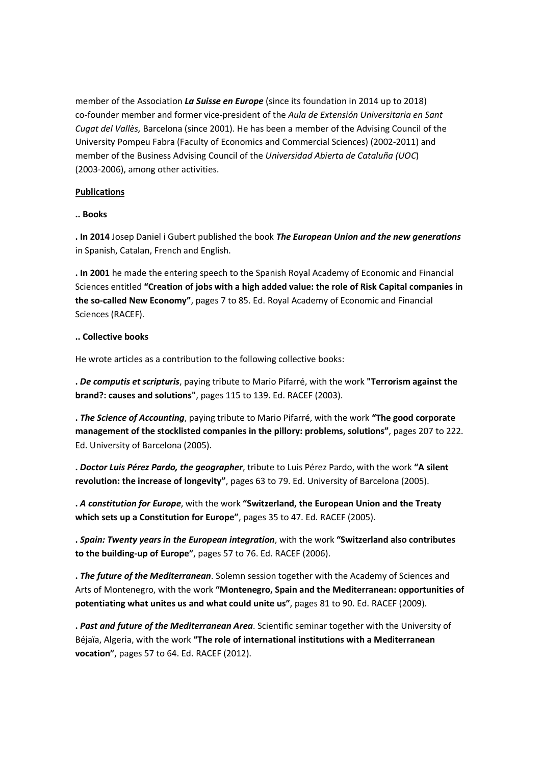member of the Association La Suisse en Europe (since its foundation in 2014 up to 2018) co-founder member and former vice-president of the Aula de Extensión Universitaria en Sant Cugat del Vallès, Barcelona (since 2001). He has been a member of the Advising Council of the University Pompeu Fabra (Faculty of Economics and Commercial Sciences) (2002-2011) and member of the Business Advising Council of the Universidad Abierta de Cataluña (UOC) (2003-2006), among other activities.

### Publications

### .. Books

. In 2014 Josep Daniel i Gubert published the book The European Union and the new generations in Spanish, Catalan, French and English.

. In 2001 he made the entering speech to the Spanish Royal Academy of Economic and Financial Sciences entitled "Creation of jobs with a high added value: the role of Risk Capital companies in the so-called New Economy", pages 7 to 85. Ed. Royal Academy of Economic and Financial Sciences (RACEF).

### .. Collective books

He wrote articles as a contribution to the following collective books:

. De computis et scripturis, paying tribute to Mario Pifarré, with the work "Terrorism against the brand?: causes and solutions", pages 115 to 139. Ed. RACEF (2003).

. The Science of Accounting, paying tribute to Mario Pifarré, with the work "The good corporate management of the stocklisted companies in the pillory: problems, solutions", pages 207 to 222. Ed. University of Barcelona (2005).

. Doctor Luis Pérez Pardo, the geographer, tribute to Luis Pérez Pardo, with the work "A silent revolution: the increase of longevity", pages 63 to 79. Ed. University of Barcelona (2005).

. A constitution for Europe, with the work "Switzerland, the European Union and the Treaty which sets up a Constitution for Europe", pages 35 to 47. Ed. RACEF (2005).

. Spain: Twenty years in the European integration, with the work "Switzerland also contributes to the building-up of Europe", pages 57 to 76. Ed. RACEF (2006).

. The future of the Mediterranean. Solemn session together with the Academy of Sciences and Arts of Montenegro, with the work "Montenegro, Spain and the Mediterranean: opportunities of potentiating what unites us and what could unite us", pages 81 to 90. Ed. RACEF (2009).

. Past and future of the Mediterranean Area. Scientific seminar together with the University of Béjaïa, Algeria, with the work "The role of international institutions with a Mediterranean vocation", pages 57 to 64. Ed. RACEF (2012).